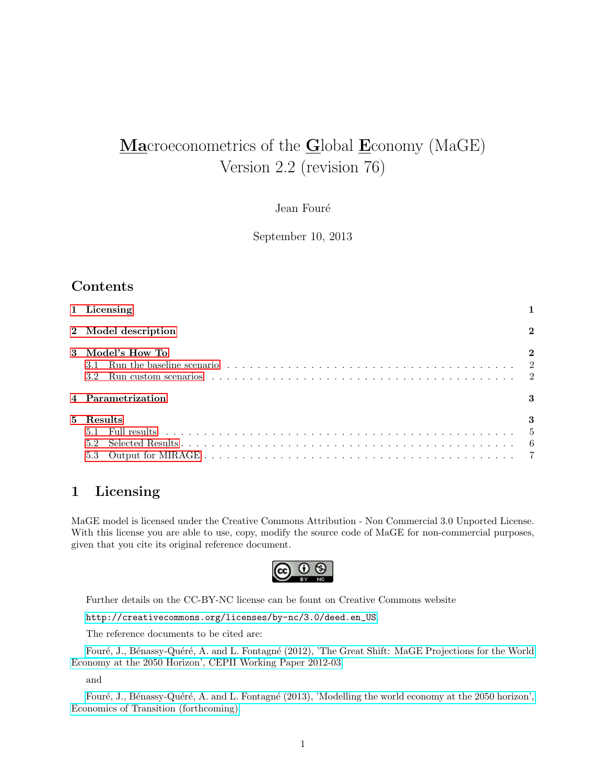# Macroeconometrics of the Global Economy (MaGE) Version 2.2 (revision 76)

#### Jean Fouré

September 10, 2013

### Contents

|    | 1 Licensing                                                                                                                                                                                                                                                                   |                    |
|----|-------------------------------------------------------------------------------------------------------------------------------------------------------------------------------------------------------------------------------------------------------------------------------|--------------------|
|    | 2 Model description                                                                                                                                                                                                                                                           | $\mathbf{2}$       |
|    | 3 Model's How To<br>Run the baseline scenario $\ldots \ldots \ldots \ldots \ldots \ldots \ldots \ldots \ldots \ldots \ldots \ldots \ldots$<br>3.1<br>Run custom scenarios $\ldots \ldots \ldots \ldots \ldots \ldots \ldots \ldots \ldots \ldots \ldots \ldots \ldots$<br>3.2 |                    |
|    | 4 Parametrization                                                                                                                                                                                                                                                             |                    |
| 5. | Results                                                                                                                                                                                                                                                                       | 3<br>$\frac{5}{2}$ |

### <span id="page-0-0"></span>1 Licensing

MaGE model is licensed under the Creative Commons Attribution - Non Commercial 3.0 Unported License. With this license you are able to use, copy, modify the source code of MaGE for non-commercial purposes, given that you cite its original reference document.



Further details on the CC-BY-NC license can be fount on Creative Commons website

[http://creativecommons.org/licenses/by-nc/3.0/deed.en\\_US](http://creativecommons.org/licenses/by-nc/3.0/deed.en_US).

The reference documents to be cited are:

Fouré, J., Bénassy-Quéré, A. and L. Fontagné (2012), 'The Great Shift: MaGE Projections for the World [Economy at the 2050 Horizon', CEPII Working Paper 2012-03.](http://www.cepii.fr/francgraph/doctravail/resumes/wp_resume.asp?annee=2012&ref=3&NoDoc=4179)

and

Fouré, J., Bénassy-Quéré, A. and L. Fontagné (2013), 'Modelling the world economy at the 2050 horizon', [Economics of Transition \(forthcoming\).](http://onlinelibrary.wiley.com/doi/10.1111/ecot.12023/abstract)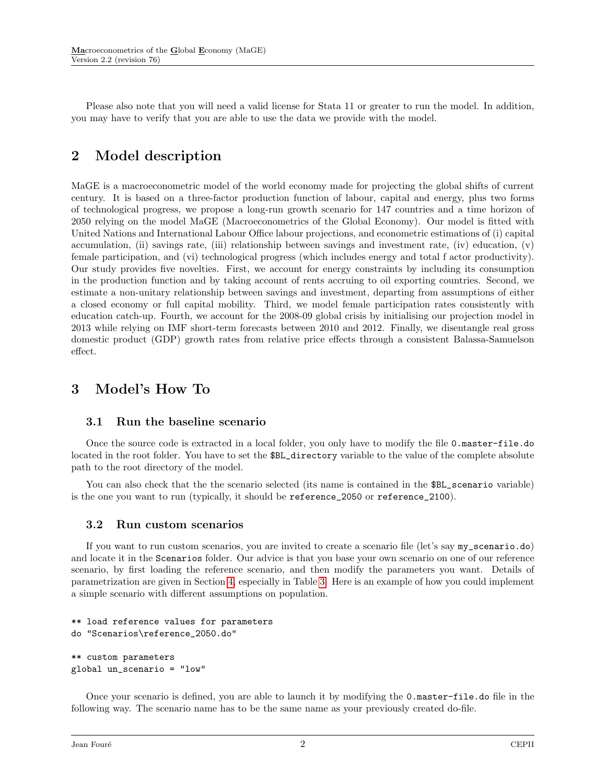Please also note that you will need a valid license for Stata 11 or greater to run the model. In addition, you may have to verify that you are able to use the data we provide with the model.

# <span id="page-1-0"></span>2 Model description

MaGE is a macroeconometric model of the world economy made for projecting the global shifts of current century. It is based on a three-factor production function of labour, capital and energy, plus two forms of technological progress, we propose a long-run growth scenario for 147 countries and a time horizon of 2050 relying on the model MaGE (Macroeconometrics of the Global Economy). Our model is fitted with United Nations and International Labour Office labour projections, and econometric estimations of (i) capital accumulation, (ii) savings rate, (iii) relationship between savings and investment rate, (iv) education, (v) female participation, and (vi) technological progress (which includes energy and total f actor productivity). Our study provides five novelties. First, we account for energy constraints by including its consumption in the production function and by taking account of rents accruing to oil exporting countries. Second, we estimate a non-unitary relationship between savings and investment, departing from assumptions of either a closed economy or full capital mobility. Third, we model female participation rates consistently with education catch-up. Fourth, we account for the 2008-09 global crisis by initialising our projection model in 2013 while relying on IMF short-term forecasts between 2010 and 2012. Finally, we disentangle real gross domestic product (GDP) growth rates from relative price effects through a consistent Balassa-Samuelson effect.

# <span id="page-1-1"></span>3 Model's How To

#### <span id="page-1-2"></span>3.1 Run the baseline scenario

Once the source code is extracted in a local folder, you only have to modify the file 0.master-file.do located in the root folder. You have to set the \$BL\_directory variable to the value of the complete absolute path to the root directory of the model.

You can also check that the the scenario selected (its name is contained in the \$BL\_scenario variable) is the one you want to run (typically, it should be reference\_2050 or reference\_2100).

#### <span id="page-1-3"></span>3.2 Run custom scenarios

If you want to run custom scenarios, you are invited to create a scenario file (let's say my\_scenario.do) and locate it in the Scenarios folder. Our advice is that you base your own scenario on one of our reference scenario, by first loading the reference scenario, and then modify the parameters you want. Details of parametrization are given in Section [4,](#page-2-0) especially in Table [3.](#page-3-0) Here is an example of how you could implement a simple scenario with different assumptions on population.

```
** load reference values for parameters
do "Scenarios\reference_2050.do"
** custom parameters
global un_scenario = "low"
```
Once your scenario is defined, you are able to launch it by modifying the 0.master-file.do file in the following way. The scenario name has to be the same name as your previously created do-file.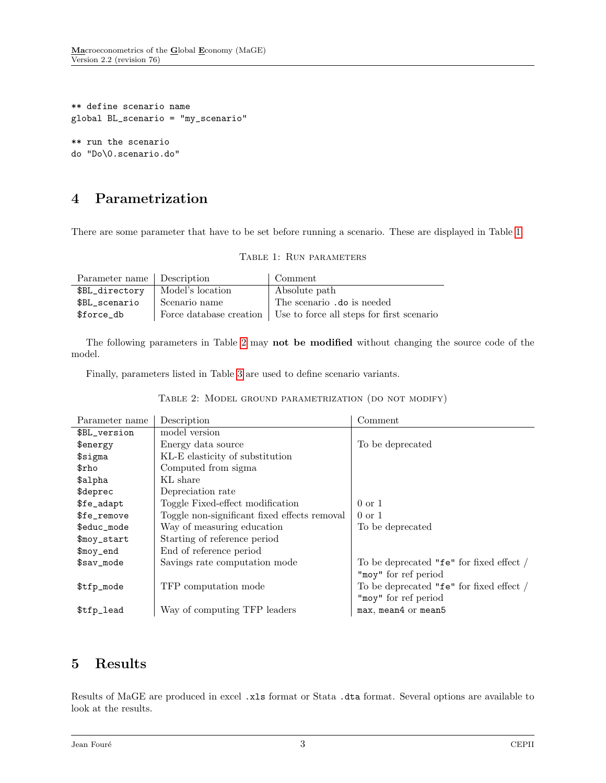```
** define scenario name
global BL_scenario = "my_scenario"
** run the scenario
do "Do\0.scenario.do"
```
# <span id="page-2-0"></span>4 Parametrization

<span id="page-2-2"></span>There are some parameter that have to be set before running a scenario. These are displayed in Table [1.](#page-2-2)

|  | TABLE 1: RUN PARAMETERS |
|--|-------------------------|
|  |                         |

| Parameter name Description |                  | Comment                                                             |
|----------------------------|------------------|---------------------------------------------------------------------|
| \$BL_directory             | Model's location | Absolute path                                                       |
| \$BL scenario              | Scenario name    | The scenario .do is needed                                          |
| \$force_db                 |                  | Force database creation   Use to force all steps for first scenario |

The following parameters in Table [2](#page-2-3) may not be modified without changing the source code of the model.

<span id="page-2-3"></span>Finally, parameters listed in Table [3](#page-3-0) are used to define scenario variants.

|  | TABLE 2: MODEL GROUND PARAMETRIZATION (DO NOT MODIFY) |  |  |
|--|-------------------------------------------------------|--|--|
|  |                                                       |  |  |

| Parameter name         | Description                                  | Comment                                  |
|------------------------|----------------------------------------------|------------------------------------------|
| \$BL_version           | model version                                |                                          |
| \$energy               | Energy data source                           | To be deprecated                         |
| \$sigma                | KL-E elasticity of substitution              |                                          |
| $\operatorname{\$rho}$ | Computed from sigma                          |                                          |
| \$alpha                | KL share                                     |                                          |
| \$deprec               | Depreciation rate                            |                                          |
| \$fe_adapt             | Toggle Fixed-effect modification             | $0 \text{ or } 1$                        |
| \$fe_remove            | Toggle non-significant fixed effects removal | $0 \text{ or } 1$                        |
| \$educ_mode            | Way of measuring education                   | To be deprecated                         |
| \$moy_start            | Starting of reference period                 |                                          |
| \$moy_end              | End of reference period                      |                                          |
| \$sav_mode             | Savings rate computation mode                | To be deprecated "fe" for fixed effect / |
|                        |                                              | "moy" for ref period                     |
| \$tfp_mode             | TFP computation mode                         | To be deprecated "fe" for fixed effect / |
|                        |                                              | "moy" for ref period                     |
| \$tfp_lead             | Way of computing TFP leaders                 | max, mean4 or mean5                      |

## <span id="page-2-1"></span>5 Results

Results of MaGE are produced in excel .xls format or Stata .dta format. Several options are available to look at the results.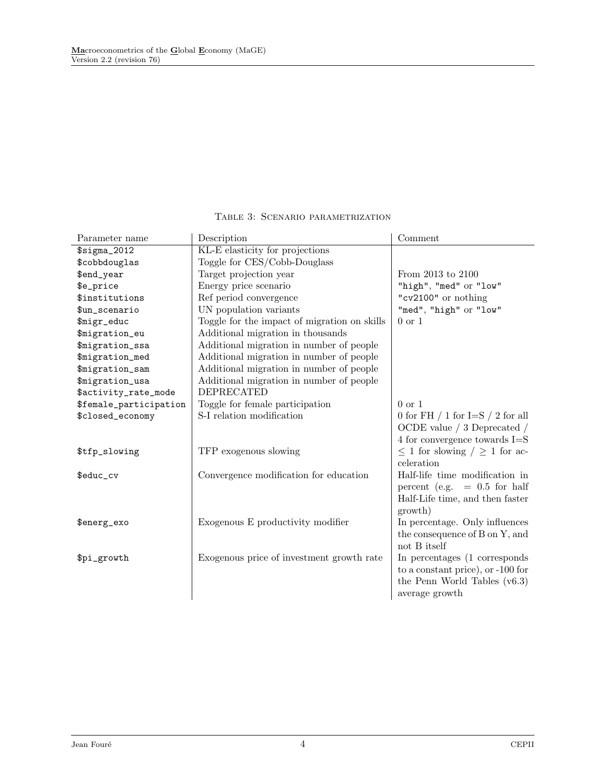<span id="page-3-0"></span>

| Parameter name         | Description                                  | Comment                                   |
|------------------------|----------------------------------------------|-------------------------------------------|
| $$signa_2012$          | KL-E elasticity for projections              |                                           |
| \$cobbdouglas          | Toggle for CES/Cobb-Douglass                 |                                           |
| \$end_year             | Target projection year                       | From 2013 to 2100                         |
| \$e_price              | Energy price scenario                        | "high", "med" or "low"                    |
| \$institutions         | Ref period convergence                       | "cv2100" or nothing                       |
| \$un_scenario          | UN population variants                       | "med", "high" or "low"                    |
| \$migr_educ            | Toggle for the impact of migration on skills | $0 \text{ or } 1$                         |
| \$migration_eu         | Additional migration in thousands            |                                           |
| \$migration_ssa        | Additional migration in number of people     |                                           |
| \$migration_med        | Additional migration in number of people     |                                           |
| \$migration_sam        | Additional migration in number of people     |                                           |
| \$migration_usa        | Additional migration in number of people     |                                           |
| \$activity_rate_mode   | <b>DEPRECATED</b>                            |                                           |
| \$female_participation | Toggle for female participation              | $0 \text{ or } 1$                         |
| \$closed_economy       | S-I relation modification                    | 0 for FH $/$ 1 for I=S $/$ 2 for all      |
|                        |                                              | OCDE value $\left/$ 3 Deprecated $\left/$ |
|                        |                                              | $4$ for convergence towards $I = S$       |
| \$tfp_slowing          | TFP exogenous slowing                        | $\leq$ 1 for slowing $/ \geq$ 1 for ac-   |
|                        |                                              | celeration                                |
| \$educ_cv              | Convergence modification for education       | Half-life time modification in            |
|                        |                                              | percent (e.g. $= 0.5$ for half            |
|                        |                                              | Half-Life time, and then faster           |
|                        |                                              | growth)                                   |
| \$energ_exo            | Exogenous E productivity modifier            | In percentage. Only influences            |
|                        |                                              | the consequence of B on Y, and            |
|                        |                                              | not B itself                              |
| \$pi_growth            | Exogenous price of investment growth rate    | In percentages (1 corresponds)            |
|                        |                                              | to a constant price), or -100 for         |
|                        |                                              | the Penn World Tables $(v6.3)$            |
|                        |                                              | average growth                            |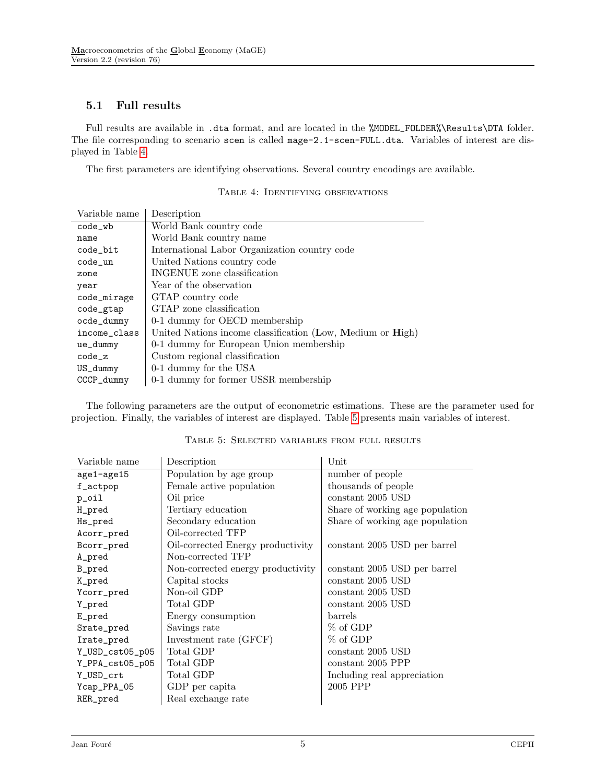### <span id="page-4-0"></span>5.1 Full results

Full results are available in .dta format, and are located in the %MODEL\_FOLDER%\Results\DTA folder. The file corresponding to scenario scen is called mage-2.1-scen-FULL.dta. Variables of interest are displayed in Table [4.](#page-4-1)

<span id="page-4-1"></span>The first parameters are identifying observations. Several country encodings are available.

| Variable name | Description                                                |
|---------------|------------------------------------------------------------|
| code_wb       | World Bank country code                                    |
| name          | World Bank country name                                    |
| code_bit      | International Labor Organization country code              |
| code_un       | United Nations country code                                |
| zone          | INGENUE zone classification                                |
| year          | Year of the observation                                    |
| code_mirage   | GTAP country code                                          |
| code_gtap     | GTAP zone classification                                   |
| ocde_dummy    | 0-1 dummy for OECD membership                              |
| income_class  | United Nations income classification (Low, Medium or High) |
| ue_dummy      | 0-1 dummy for European Union membership                    |
| $code_z$      | Custom regional classification                             |
| US_dummy      | 0-1 dummy for the USA                                      |
| CCCP_dummy    | 0-1 dummy for former USSR membership                       |

Table 4: Identifying observations

The following parameters are the output of econometric estimations. These are the parameter used for projection. Finally, the variables of interest are displayed. Table [5](#page-4-2) presents main variables of interest.

<span id="page-4-2"></span>

| Variable name   | Description                       | Unit                            |
|-----------------|-----------------------------------|---------------------------------|
| age1-age15      | Population by age group           | number of people                |
| f_actpop        | Female active population          | thousands of people             |
| p_oil           | Oil price                         | constant 2005 USD               |
| H_pred          | Tertiary education                | Share of working age population |
| Hs_pred         | Secondary education               | Share of working age population |
| Acorr_pred      | Oil-corrected TFP                 |                                 |
| Bcorr_pred      | Oil-corrected Energy productivity | constant 2005 USD per barrel    |
| A_pred          | Non-corrected TFP                 |                                 |
| B_pred          | Non-corrected energy productivity | constant 2005 USD per barrel    |
| K_pred          | Capital stocks                    | constant 2005 USD               |
| Ycorr_pred      | Non-oil GDP                       | constant 2005 USD               |
| Y_pred          | Total GDP                         | constant 2005 USD               |
| E_pred          | Energy consumption                | barrels                         |
| Srate_pred      | Savings rate                      | % of GDP                        |
| Irate_pred      | Investment rate (GFCF)            | % of GDP                        |
| Y_USD_cst05_p05 | Total GDP                         | constant 2005 USD               |
| Y_PPA_cst05_p05 | Total GDP                         | constant 2005 PPP               |
| Y_USD_crt       | Total GDP                         | Including real appreciation     |
| Ycap_PPA_05     | GDP per capita                    | 2005 PPP                        |
| RER_pred        | Real exchange rate                |                                 |

Table 5: Selected variables from full results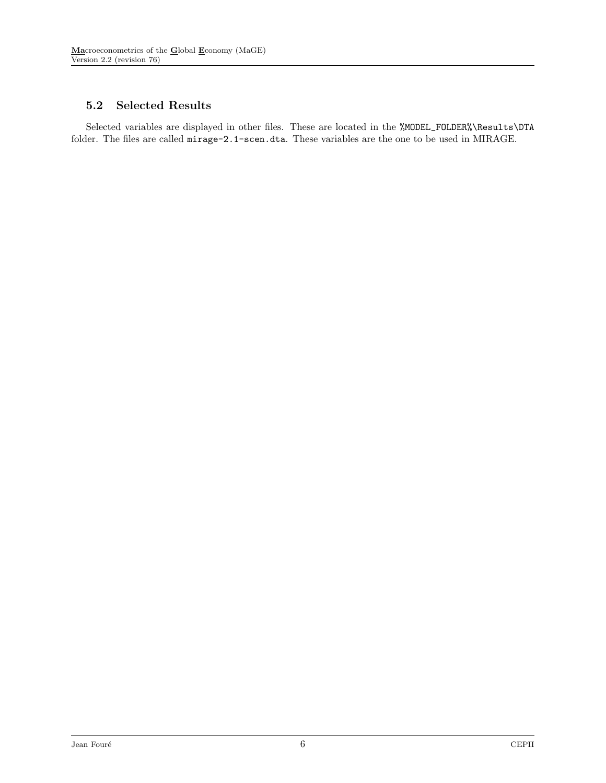### <span id="page-5-0"></span>5.2 Selected Results

Selected variables are displayed in other files. These are located in the %MODEL\_FOLDER%\Results\DTA folder. The files are called mirage-2.1-scen.dta. These variables are the one to be used in MIRAGE.